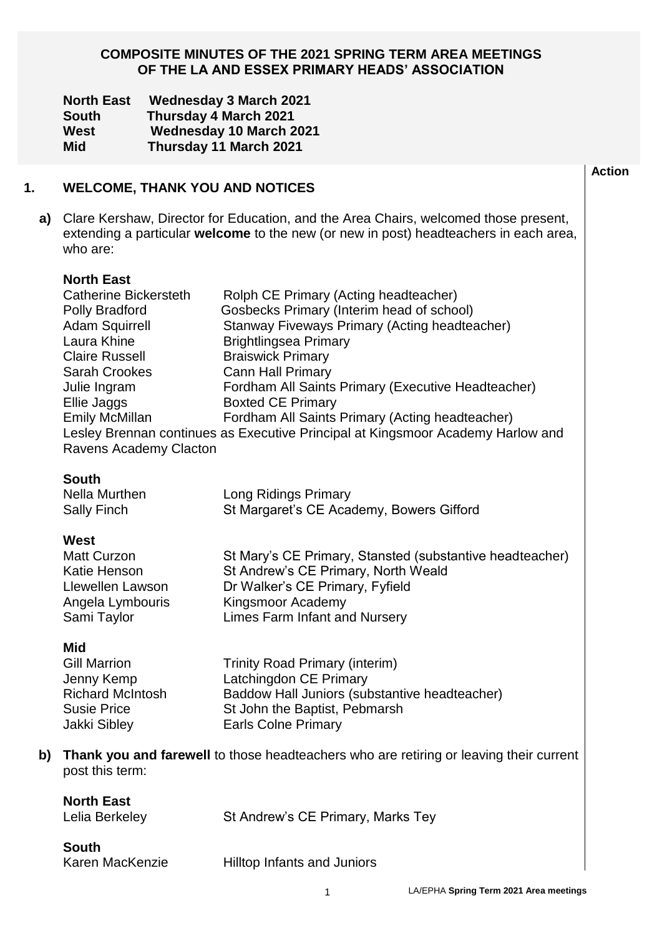## **COMPOSITE MINUTES OF THE 2021 SPRING TERM AREA MEETINGS OF THE LA AND ESSEX PRIMARY HEADS' ASSOCIATION**

| <b>North East</b> | <b>Wednesday 3 March 2021</b>  |
|-------------------|--------------------------------|
| <b>South</b>      | <b>Thursday 4 March 2021</b>   |
| West              | <b>Wednesday 10 March 2021</b> |
| <b>Mid</b>        | Thursday 11 March 2021         |

| 1. | <b>WELCOME, THANK YOU AND NOTICES</b>                                                                                                                                                                                                   |                                                                                                                                                                                                                                                                                                                                                                                                                                                     | <b>Action</b> |  |  |  |
|----|-----------------------------------------------------------------------------------------------------------------------------------------------------------------------------------------------------------------------------------------|-----------------------------------------------------------------------------------------------------------------------------------------------------------------------------------------------------------------------------------------------------------------------------------------------------------------------------------------------------------------------------------------------------------------------------------------------------|---------------|--|--|--|
|    | a) Clare Kershaw, Director for Education, and the Area Chairs, welcomed those present,<br>extending a particular welcome to the new (or new in post) headteachers in each area,<br>who are:                                             |                                                                                                                                                                                                                                                                                                                                                                                                                                                     |               |  |  |  |
|    | <b>North East</b><br><b>Catherine Bickersteth</b><br>Polly Bradford<br><b>Adam Squirrell</b><br>Laura Khine<br><b>Claire Russell</b><br>Sarah Crookes<br>Julie Ingram<br>Ellie Jaggs<br><b>Emily McMillan</b><br>Ravens Academy Clacton | Rolph CE Primary (Acting headteacher)<br>Gosbecks Primary (Interim head of school)<br>Stanway Fiveways Primary (Acting headteacher)<br><b>Brightlingsea Primary</b><br><b>Braiswick Primary</b><br><b>Cann Hall Primary</b><br>Fordham All Saints Primary (Executive Headteacher)<br><b>Boxted CE Primary</b><br>Fordham All Saints Primary (Acting headteacher)<br>Lesley Brennan continues as Executive Principal at Kingsmoor Academy Harlow and |               |  |  |  |
|    | <b>South</b><br><b>Nella Murthen</b><br>Sally Finch<br>West<br><b>Matt Curzon</b><br>Katie Henson<br>Llewellen Lawson<br>Angela Lymbouris<br>Sami Taylor                                                                                | Long Ridings Primary<br>St Margaret's CE Academy, Bowers Gifford<br>St Mary's CE Primary, Stansted (substantive headteacher)<br>St Andrew's CE Primary, North Weald<br>Dr Walker's CE Primary, Fyfield<br>Kingsmoor Academy<br><b>Limes Farm Infant and Nursery</b>                                                                                                                                                                                 |               |  |  |  |

#### **Mid**

| Gill Marrion            | <b>Trinity Road Primary (interim)</b>         |
|-------------------------|-----------------------------------------------|
| Jenny Kemp              | Latchingdon CE Primary                        |
| <b>Richard McIntosh</b> | Baddow Hall Juniors (substantive headteacher) |
| Susie Price             | St John the Baptist, Pebmarsh                 |
| Jakki Sibley            | <b>Earls Colne Primary</b>                    |
|                         |                                               |

**b) Thank you and farewell** to those headteachers who are retiring or leaving their current post this term:

| <b>North East</b><br>Lelia Berkeley | St Andrew's CE Primary, Marks Tey |
|-------------------------------------|-----------------------------------|
| South                               |                                   |

Karen MacKenzie Hilltop Infants and Juniors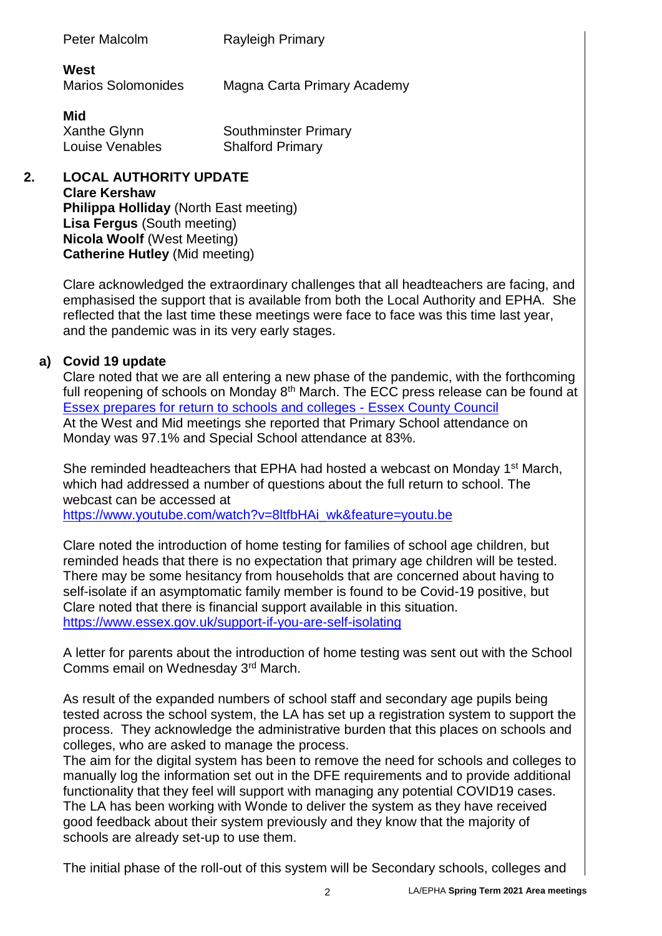| Peter Malcolm                     | <b>Rayleigh Primary</b>     |
|-----------------------------------|-----------------------------|
| West<br><b>Marios Solomonides</b> | Magna Carta Primary Academy |

**Mid**

Xanthe Glynn Southminster Primary Louise Venables Shalford Primary

**2. LOCAL AUTHORITY UPDATE Clare Kershaw Philippa Holliday** (North East meeting) **Lisa Fergus** (South meeting) **Nicola Woolf** (West Meeting) **Catherine Hutley** (Mid meeting)

> Clare acknowledged the extraordinary challenges that all headteachers are facing, and emphasised the support that is available from both the Local Authority and EPHA. She reflected that the last time these meetings were face to face was this time last year, and the pandemic was in its very early stages.

## **a) Covid 19 update**

Clare noted that we are all entering a new phase of the pandemic, with the forthcoming full reopening of schools on Monday  $8<sup>th</sup>$  March. The ECC press release can be found at Essex [prepares for return to schools and colleges -](https://www.essex.gov.uk/news/essex-prepares-for-return-to-schools-and-colleges) Essex County Council At the West and Mid meetings she reported that Primary School attendance on Monday was 97.1% and Special School attendance at 83%.

She reminded headteachers that EPHA had hosted a webcast on Monday 1<sup>st</sup> March, which had addressed a number of questions about the full return to school. The webcast can be accessed at [https://www.youtube.com/watch?v=8ltfbHAi\\_wk&feature=youtu.be](https://www.youtube.com/watch?v=8ltfbHAi_wk&feature=youtu.be)

Clare noted the introduction of home testing for families of school age children, but reminded heads that there is no expectation that primary age children will be tested. There may be some hesitancy from households that are concerned about having to self-isolate if an asymptomatic family member is found to be Covid-19 positive, but Clare noted that there is financial support available in this situation. <https://www.essex.gov.uk/support-if-you-are-self-isolating>

A letter for parents about the introduction of home testing was sent out with the School Comms email on Wednesday 3rd March.

As result of the expanded numbers of school staff and secondary age pupils being tested across the school system, the LA has set up a registration system to support the process. They acknowledge the administrative burden that this places on schools and colleges, who are asked to manage the process.

The aim for the digital system has been to remove the need for schools and colleges to manually log the information set out in the DFE requirements and to provide additional functionality that they feel will support with managing any potential COVID19 cases. The LA has been working with Wonde to deliver the system as they have received good feedback about their system previously and they know that the majority of schools are already set-up to use them.

The initial phase of the roll-out of this system will be Secondary schools, colleges and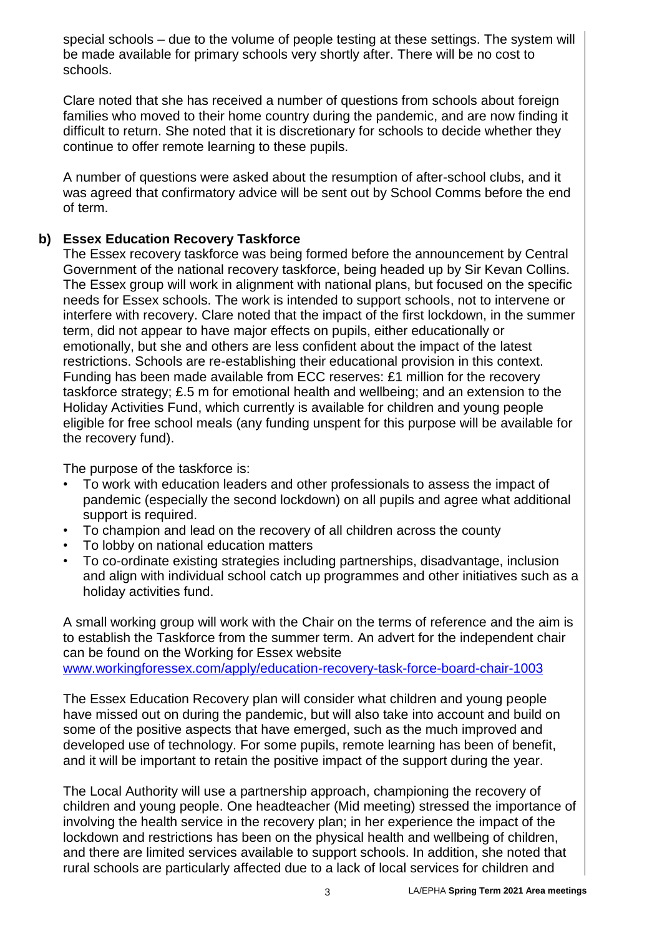special schools – due to the volume of people testing at these settings. The system will be made available for primary schools very shortly after. There will be no cost to schools.

Clare noted that she has received a number of questions from schools about foreign families who moved to their home country during the pandemic, and are now finding it difficult to return. She noted that it is discretionary for schools to decide whether they continue to offer remote learning to these pupils.

A number of questions were asked about the resumption of after-school clubs, and it was agreed that confirmatory advice will be sent out by School Comms before the end of term.

## **b) Essex Education Recovery Taskforce**

The Essex recovery taskforce was being formed before the announcement by Central Government of the national recovery taskforce, being headed up by Sir Kevan Collins. The Essex group will work in alignment with national plans, but focused on the specific needs for Essex schools. The work is intended to support schools, not to intervene or interfere with recovery. Clare noted that the impact of the first lockdown, in the summer term, did not appear to have major effects on pupils, either educationally or emotionally, but she and others are less confident about the impact of the latest restrictions. Schools are re-establishing their educational provision in this context. Funding has been made available from ECC reserves: £1 million for the recovery taskforce strategy; £.5 m for emotional health and wellbeing; and an extension to the Holiday Activities Fund, which currently is available for children and young people eligible for free school meals (any funding unspent for this purpose will be available for the recovery fund).

The purpose of the taskforce is:

- To work with education leaders and other professionals to assess the impact of pandemic (especially the second lockdown) on all pupils and agree what additional support is required.
- To champion and lead on the recovery of all children across the county
- To lobby on national education matters
- To co-ordinate existing strategies including partnerships, disadvantage, inclusion and align with individual school catch up programmes and other initiatives such as a holiday activities fund.

A small working group will work with the Chair on the terms of reference and the aim is to establish the Taskforce from the summer term. An advert for the independent chair can be found on the Working for Essex website [www.workingforessex.com/apply/education-recovery-task-force-board-chair-1003](https://eur02.safelinks.protection.outlook.com/?url=http%3A%2F%2Fwww.workingforessex.com%2Fapply%2Feducation-recovery-task-force-board-chair-1003&data=04%7C01%7C%7C060c78acae4a4197f8f808d8e52c7d3f%7Ca8b4324f155c4215a0f17ed8cc9a992f%7C0%7C0%7C637511327805807757%7CUnknown%7CTWFpbGZsb3d8eyJWIjoiMC4wLjAwMDAiLCJQIjoiV2luMzIiLCJBTiI6Ik1haWwiLCJXVCI6Mn0%3D%7C1000&sdata=2OSAHdsUUKAPVqYsCcZI6w2zIjZEGFfFtsxYKYYFtC8%3D&reserved=0)

The Essex Education Recovery plan will consider what children and young people have missed out on during the pandemic, but will also take into account and build on some of the positive aspects that have emerged, such as the much improved and developed use of technology. For some pupils, remote learning has been of benefit, and it will be important to retain the positive impact of the support during the year.

The Local Authority will use a partnership approach, championing the recovery of children and young people. One headteacher (Mid meeting) stressed the importance of involving the health service in the recovery plan; in her experience the impact of the lockdown and restrictions has been on the physical health and wellbeing of children, and there are limited services available to support schools. In addition, she noted that rural schools are particularly affected due to a lack of local services for children and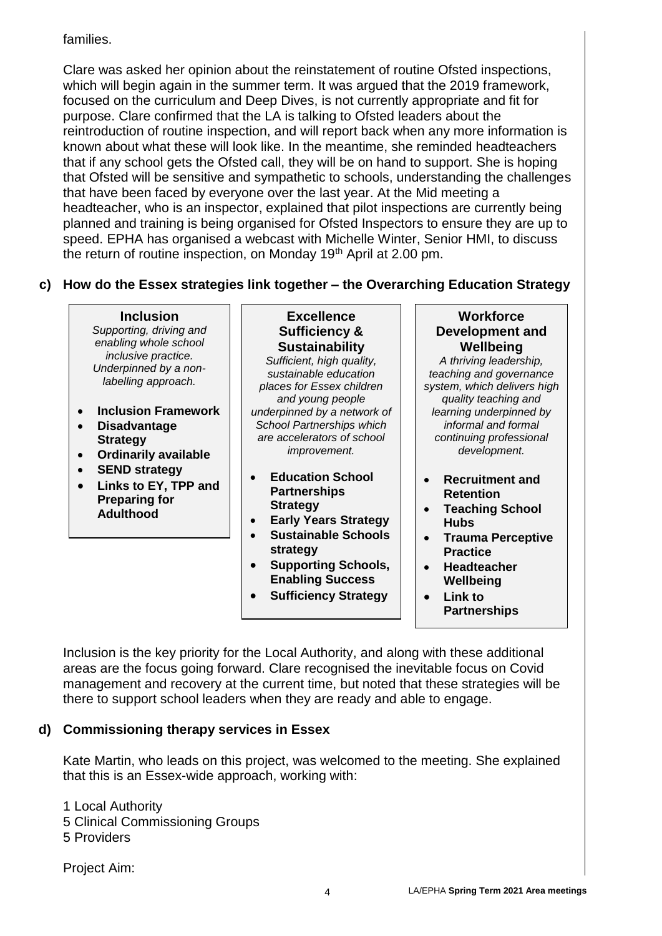# families.

Clare was asked her opinion about the reinstatement of routine Ofsted inspections, which will begin again in the summer term. It was argued that the 2019 framework, focused on the curriculum and Deep Dives, is not currently appropriate and fit for purpose. Clare confirmed that the LA is talking to Ofsted leaders about the reintroduction of routine inspection, and will report back when any more information is known about what these will look like. In the meantime, she reminded headteachers that if any school gets the Ofsted call, they will be on hand to support. She is hoping that Ofsted will be sensitive and sympathetic to schools, understanding the challenges that have been faced by everyone over the last year. At the Mid meeting a headteacher, who is an inspector, explained that pilot inspections are currently being planned and training is being organised for Ofsted Inspectors to ensure they are up to speed. EPHA has organised a webcast with Michelle Winter, Senior HMI, to discuss the return of routine inspection, on Monday 19<sup>th</sup> April at 2.00 pm.

# **c) How do the Essex strategies link together – the Overarching Education Strategy**

**Inclusion** *Supporting, driving and enabling whole school inclusive practice. Underpinned by a nonlabelling approach.* **Inclusion Framework Disadvantage Strategy Ordinarily available SEND strategy Links to EY, TPP and Preparing for Adulthood Excellence Sufficiency & Sustainability** *Sufficient, high quality, sustainable education places for Essex children and young people underpinned by a network of School Partnerships which are accelerators of school improvement.* **Education School Partnerships Strategy Early Years Strategy Sustainable Schools strategy Supporting Schools, Enabling Success Sufficiency Strategy Workforce Development and Wellbeing** *A thriving leadership, teaching and governance system, which delivers high quality teaching and learning underpinned by informal and formal continuing professional development.* **Recruitment and Retention Teaching School Hubs Trauma Perceptive Practice Headteacher Wellbeing Link to** 

**Partnerships**

Inclusion is the key priority for the Local Authority, and along with these additional areas are the focus going forward. Clare recognised the inevitable focus on Covid management and recovery at the current time, but noted that these strategies will be there to support school leaders when they are ready and able to engage.

## **d) Commissioning therapy services in Essex**

Kate Martin, who leads on this project, was welcomed to the meeting. She explained that this is an Essex-wide approach, working with:

1 Local Authority

- 5 Clinical Commissioning Groups
- 5 Providers

Project Aim: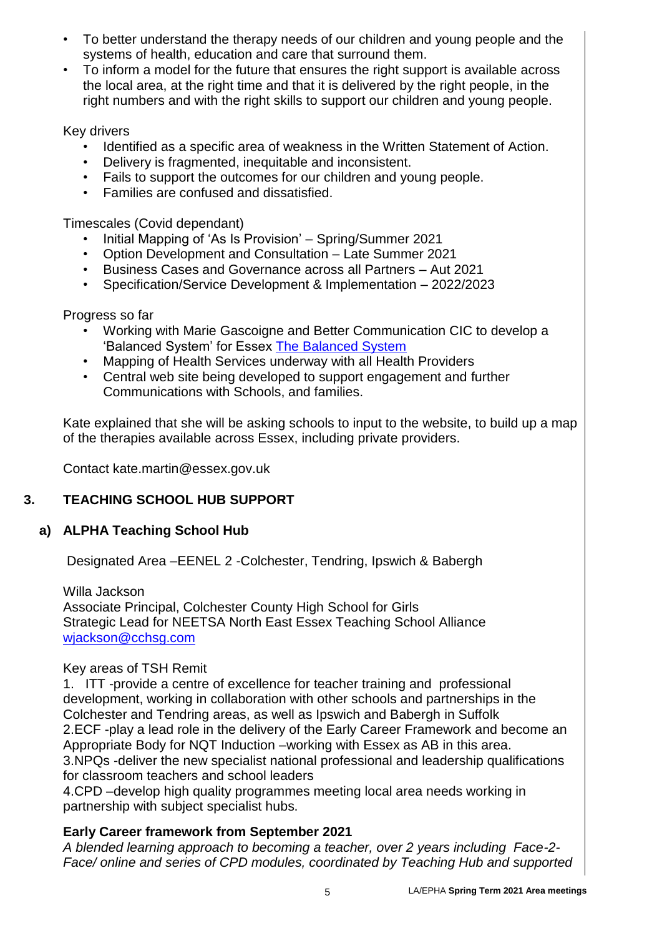- To better understand the therapy needs of our children and young people and the systems of health, education and care that surround them.
- To inform a model for the future that ensures the right support is available across the local area, at the right time and that it is delivered by the right people, in the right numbers and with the right skills to support our children and young people.

## Key drivers

- Identified as a specific area of weakness in the Written Statement of Action.
- Delivery is fragmented, inequitable and inconsistent.
- Fails to support the outcomes for our children and young people.
- Families are confused and dissatisfied.

Timescales (Covid dependant)

- Initial Mapping of 'As Is Provision' Spring/Summer 2021
- Option Development and Consultation Late Summer 2021
- Business Cases and Governance across all Partners Aut 2021
- Specification/Service Development & Implementation 2022/2023

## Progress so far

- Working with Marie Gascoigne and Better Communication CIC to develop a 'Balanced System' for Essex [The Balanced System](https://www.thebalancedsystem.org/)
- Mapping of Health Services underway with all Health Providers
- Central web site being developed to support engagement and further Communications with Schools, and families.

Kate explained that she will be asking schools to input to the website, to build up a map of the therapies available across Essex, including private providers.

Contact kate.martin@essex.gov.uk

#### **3. TEACHING SCHOOL HUB SUPPORT**

## **a) ALPHA Teaching School Hub**

Designated Area –EENEL 2 -Colchester, Tendring, Ipswich & Babergh

Willa Jackson Associate Principal, Colchester County High School for Girls Strategic Lead for NEETSA North East Essex Teaching School Alliance [wjackson@cchsg.com](mailto:wjackson@cchsg.com)

## Key areas of TSH Remit

1. ITT -provide a centre of excellence for teacher training and professional development, working in collaboration with other schools and partnerships in the Colchester and Tendring areas, as well as Ipswich and Babergh in Suffolk 2.ECF -play a lead role in the delivery of the Early Career Framework and become an Appropriate Body for NQT Induction –working with Essex as AB in this area. 3.NPQs -deliver the new specialist national professional and leadership qualifications for classroom teachers and school leaders

4.CPD –develop high quality programmes meeting local area needs working in partnership with subject specialist hubs.

## **Early Career framework from September 2021**

*A blended learning approach to becoming a teacher, over 2 years including Face-2- Face/ online and series of CPD modules, coordinated by Teaching Hub and supported*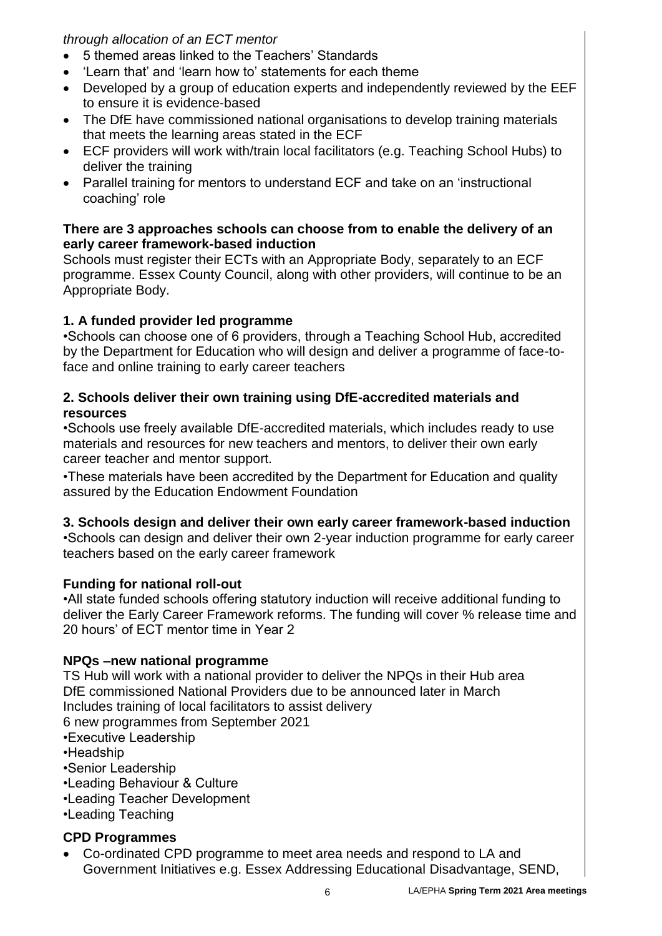*through allocation of an ECT mentor*

- 5 themed areas linked to the Teachers' Standards
- 'Learn that' and 'learn how to' statements for each theme
- Developed by a group of education experts and independently reviewed by the EEF to ensure it is evidence-based
- The DfE have commissioned national organisations to develop training materials that meets the learning areas stated in the ECF
- ECF providers will work with/train local facilitators (e.g. Teaching School Hubs) to deliver the training
- Parallel training for mentors to understand ECF and take on an 'instructional coaching' role

## **There are 3 approaches schools can choose from to enable the delivery of an early career framework-based induction**

Schools must register their ECTs with an Appropriate Body, separately to an ECF programme. Essex County Council, along with other providers, will continue to be an Appropriate Body.

# **1. A funded provider led programme**

•Schools can choose one of 6 providers, through a Teaching School Hub, accredited by the Department for Education who will design and deliver a programme of face-toface and online training to early career teachers

# **2. Schools deliver their own training using DfE-accredited materials and resources**

•Schools use freely available DfE-accredited materials, which includes ready to use materials and resources for new teachers and mentors, to deliver their own early career teacher and mentor support.

•These materials have been accredited by the Department for Education and quality assured by the Education Endowment Foundation

# **3. Schools design and deliver their own early career framework-based induction**

•Schools can design and deliver their own 2-year induction programme for early career teachers based on the early career framework

# **Funding for national roll-out**

•All state funded schools offering statutory induction will receive additional funding to deliver the Early Career Framework reforms. The funding will cover % release time and 20 hours' of ECT mentor time in Year 2

# **NPQs –new national programme**

TS Hub will work with a national provider to deliver the NPQs in their Hub area DfE commissioned National Providers due to be announced later in March Includes training of local facilitators to assist delivery 6 new programmes from September 2021

•Executive Leadership

•Headship

•Senior Leadership

- •Leading Behaviour & Culture
- •Leading Teacher Development

•Leading Teaching

# **CPD Programmes**

 Co-ordinated CPD programme to meet area needs and respond to LA and Government Initiatives e.g. Essex Addressing Educational Disadvantage, SEND,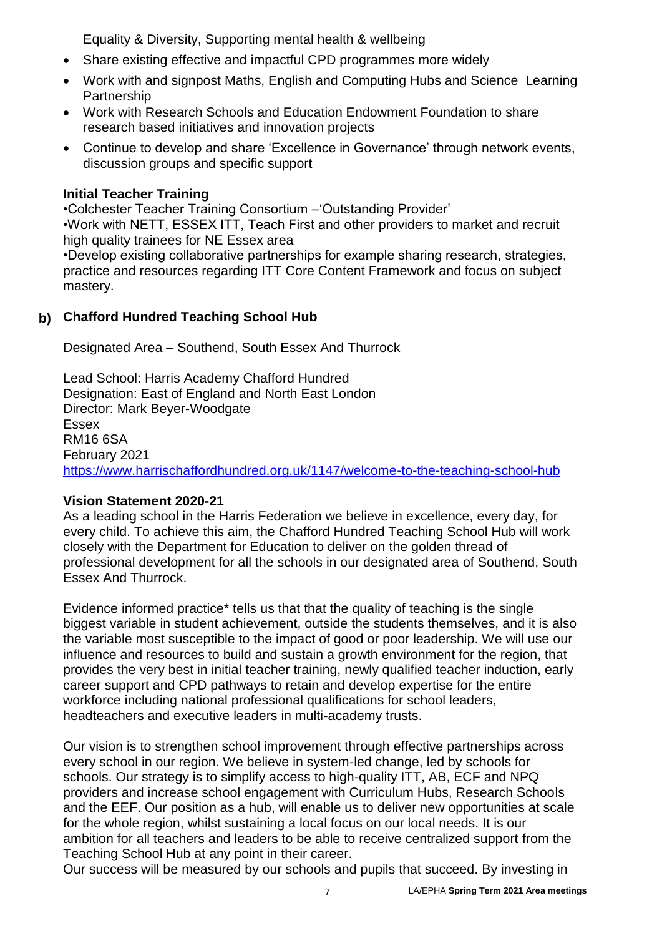Equality & Diversity, Supporting mental health & wellbeing

- Share existing effective and impactful CPD programmes more widely
- Work with and signpost Maths, English and Computing Hubs and Science Learning Partnership
- Work with Research Schools and Education Endowment Foundation to share research based initiatives and innovation projects
- Continue to develop and share 'Excellence in Governance' through network events, discussion groups and specific support

## **Initial Teacher Training**

•Colchester Teacher Training Consortium –'Outstanding Provider' •Work with NETT, ESSEX ITT, Teach First and other providers to market and recruit high quality trainees for NE Essex area

•Develop existing collaborative partnerships for example sharing research, strategies, practice and resources regarding ITT Core Content Framework and focus on subject mastery.

## **b) Chafford Hundred Teaching School Hub**

Designated Area – Southend, South Essex And Thurrock

Lead School: Harris Academy Chafford Hundred Designation: East of England and North East London Director: Mark Beyer-Woodgate Essex RM16 6SA February 2021 <https://www.harrischaffordhundred.org.uk/1147/welcome-to-the-teaching-school-hub>

## **Vision Statement 2020-21**

As a leading school in the Harris Federation we believe in excellence, every day, for every child. To achieve this aim, the Chafford Hundred Teaching School Hub will work closely with the Department for Education to deliver on the golden thread of professional development for all the schools in our designated area of Southend, South Essex And Thurrock.

Evidence informed practice\* tells us that that the quality of teaching is the single biggest variable in student achievement, outside the students themselves, and it is also the variable most susceptible to the impact of good or poor leadership. We will use our influence and resources to build and sustain a growth environment for the region, that provides the very best in initial teacher training, newly qualified teacher induction, early career support and CPD pathways to retain and develop expertise for the entire workforce including national professional qualifications for school leaders, headteachers and executive leaders in multi-academy trusts.

Our vision is to strengthen school improvement through effective partnerships across every school in our region. We believe in system-led change, led by schools for schools. Our strategy is to simplify access to high-quality ITT, AB, ECF and NPQ providers and increase school engagement with Curriculum Hubs, Research Schools and the EEF. Our position as a hub, will enable us to deliver new opportunities at scale for the whole region, whilst sustaining a local focus on our local needs. It is our ambition for all teachers and leaders to be able to receive centralized support from the Teaching School Hub at any point in their career.

Our success will be measured by our schools and pupils that succeed. By investing in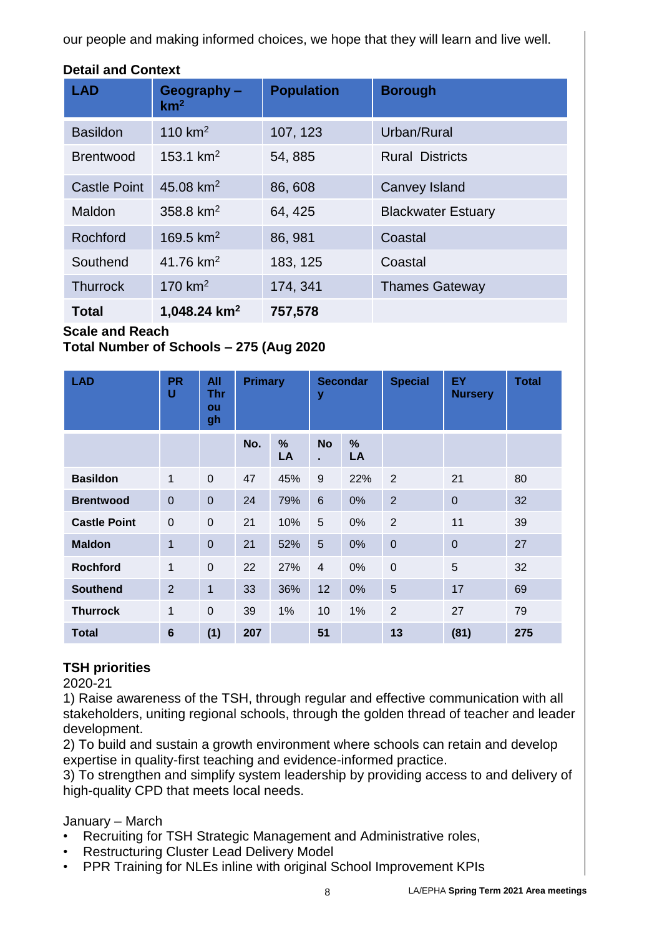our people and making informed choices, we hope that they will learn and live well.

| <b>LAD</b>          | Geography-<br>km <sup>2</sup> | <b>Population</b> | <b>Borough</b>            |
|---------------------|-------------------------------|-------------------|---------------------------|
| <b>Basildon</b>     | 110 $km2$                     | 107, 123          | Urban/Rural               |
| <b>Brentwood</b>    | 153.1 $km^2$                  | 54, 885           | <b>Rural Districts</b>    |
| <b>Castle Point</b> | 45.08 $km^2$                  | 86,608            | Canvey Island             |
| Maldon              | 358.8 $km^2$                  | 64, 425           | <b>Blackwater Estuary</b> |
| Rochford            | 169.5 $km^2$                  | 86, 981           | Coastal                   |
| Southend            | 41.76 $km^2$                  | 183, 125          | Coastal                   |
| <b>Thurrock</b>     | 170 $km2$                     | 174, 341          | <b>Thames Gateway</b>     |
| <b>Total</b>        | 1,048.24 $km2$                | 757,578           |                           |

# **Detail and Context**

#### **Scale and Reach**

**Total Number of Schools – 275 (Aug 2020**

| <b>LAD</b>          | <b>PR</b><br>U | All<br><b>Thr</b><br>ou<br>gh | <b>Primary</b> |                     | y               | <b>Secondar</b> | <b>Special</b> | EY<br><b>Nursery</b> | <b>Total</b> |
|---------------------|----------------|-------------------------------|----------------|---------------------|-----------------|-----------------|----------------|----------------------|--------------|
|                     |                |                               | No.            | $\frac{9}{6}$<br>LA | <b>No</b><br>×. | %<br>LA         |                |                      |              |
| <b>Basildon</b>     | 1              | $\mathbf 0$                   | 47             | 45%                 | 9               | 22%             | $\overline{2}$ | 21                   | 80           |
| <b>Brentwood</b>    | $\mathbf 0$    | $\mathbf 0$                   | 24             | 79%                 | $6\phantom{1}$  | 0%              | $\overline{2}$ | $\mathbf 0$          | 32           |
| <b>Castle Point</b> | $\mathbf 0$    | $\mathbf 0$                   | 21             | 10%                 | 5               | 0%              | $\overline{2}$ | 11                   | 39           |
| <b>Maldon</b>       | 1              | $\overline{0}$                | 21             | 52%                 | 5               | 0%              | $\mathbf 0$    | $\mathbf 0$          | 27           |
| <b>Rochford</b>     | 1              | $\mathbf 0$                   | 22             | 27%                 | $\overline{4}$  | $0\%$           | $\mathbf 0$    | 5                    | 32           |
| <b>Southend</b>     | 2              | $\mathbf 1$                   | 33             | 36%                 | 12              | 0%              | 5              | 17                   | 69           |
| <b>Thurrock</b>     | 1              | $\overline{0}$                | 39             | 1%                  | 10              | 1%              | $\overline{2}$ | 27                   | 79           |
| <b>Total</b>        | 6              | (1)                           | 207            |                     | 51              |                 | 13             | (81)                 | 275          |

## **TSH priorities**

2020-21

1) Raise awareness of the TSH, through regular and effective communication with all stakeholders, uniting regional schools, through the golden thread of teacher and leader development.

2) To build and sustain a growth environment where schools can retain and develop expertise in quality-first teaching and evidence-informed practice.

3) To strengthen and simplify system leadership by providing access to and delivery of high-quality CPD that meets local needs.

January – March

- Recruiting for TSH Strategic Management and Administrative roles,
- Restructuring Cluster Lead Delivery Model
- PPR Training for NLEs inline with original School Improvement KPIs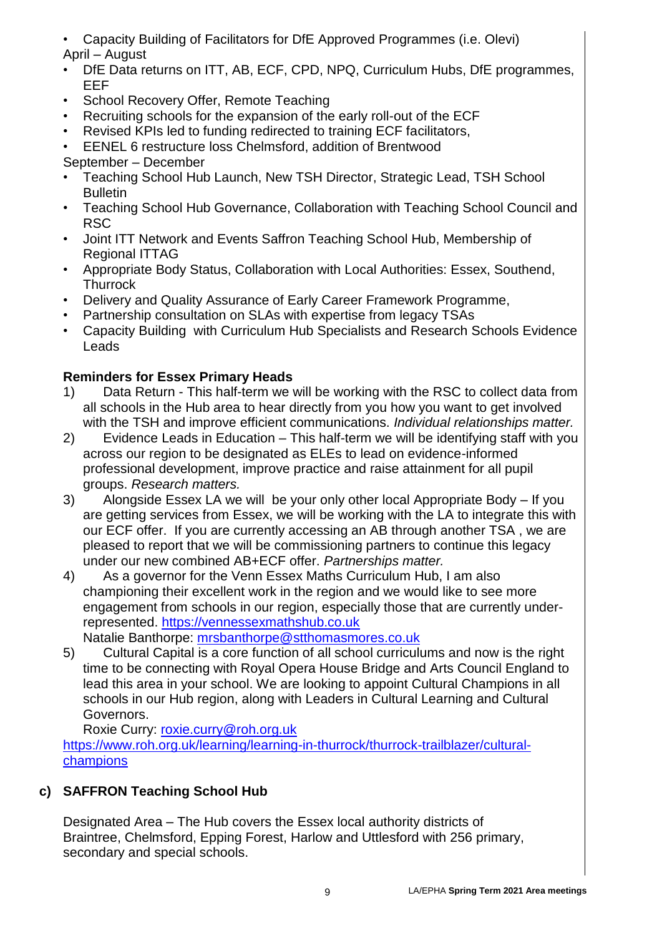- Capacity Building of Facilitators for DfE Approved Programmes (i.e. Olevi) April – August
- DfE Data returns on ITT, AB, ECF, CPD, NPQ, Curriculum Hubs, DfE programmes, EEF
- School Recovery Offer, Remote Teaching
- Recruiting schools for the expansion of the early roll-out of the ECF
- Revised KPIs led to funding redirected to training ECF facilitators,
- EENEL 6 restructure loss Chelmsford, addition of Brentwood

# September – December

- Teaching School Hub Launch, New TSH Director, Strategic Lead, TSH School **Bulletin**
- Teaching School Hub Governance, Collaboration with Teaching School Council and RSC
- Joint ITT Network and Events Saffron Teaching School Hub, Membership of Regional ITTAG
- Appropriate Body Status, Collaboration with Local Authorities: Essex, Southend, **Thurrock**
- Delivery and Quality Assurance of Early Career Framework Programme,
- Partnership consultation on SLAs with expertise from legacy TSAs
- Capacity Building with Curriculum Hub Specialists and Research Schools Evidence Leads

# **Reminders for Essex Primary Heads**

- 1) Data Return This half-term we will be working with the RSC to collect data from all schools in the Hub area to hear directly from you how you want to get involved with the TSH and improve efficient communications. *Individual relationships matter.*
- 2) Evidence Leads in Education This half-term we will be identifying staff with you across our region to be designated as ELEs to lead on evidence-informed professional development, improve practice and raise attainment for all pupil groups. *Research matters.*
- 3) Alongside Essex LA we will be your only other local Appropriate Body If you are getting services from Essex, we will be working with the LA to integrate this with our ECF offer. If you are currently accessing an AB through another TSA , we are pleased to report that we will be commissioning partners to continue this legacy under our new combined AB+ECF offer. *Partnerships matter.*
- 4) As a governor for the Venn Essex Maths Curriculum Hub, I am also championing their excellent work in the region and we would like to see more engagement from schools in our region, especially those that are currently underrepresented. [https://vennessexmathshub.co.uk](https://vennessexmathshub.co.uk/)

Natalie Banthorpe: [mrsbanthorpe@stthomasmores.co.uk](mailto:mrsbanthorpe@stthomasmores.co.uk)

5) Cultural Capital is a core function of all school curriculums and now is the right time to be connecting with Royal Opera House Bridge and Arts Council England to lead this area in your school. We are looking to appoint Cultural Champions in all schools in our Hub region, along with Leaders in Cultural Learning and Cultural Governors.

Roxie Curry: [roxie.curry@roh.org.uk](mailto:roxie.curry@roh.org.uk) [https://www.roh.org.uk/learning/learning-in-thurrock/thurrock-trailblazer/cultural](https://www.roh.org.uk/learning/learning-in-thurrock/thurrock-trailblazer/cultural-champions)[champions](https://www.roh.org.uk/learning/learning-in-thurrock/thurrock-trailblazer/cultural-champions)

# **c) SAFFRON Teaching School Hub**

Designated Area – The Hub covers the Essex local authority districts of Braintree, Chelmsford, Epping Forest, Harlow and Uttlesford with 256 primary, secondary and special schools.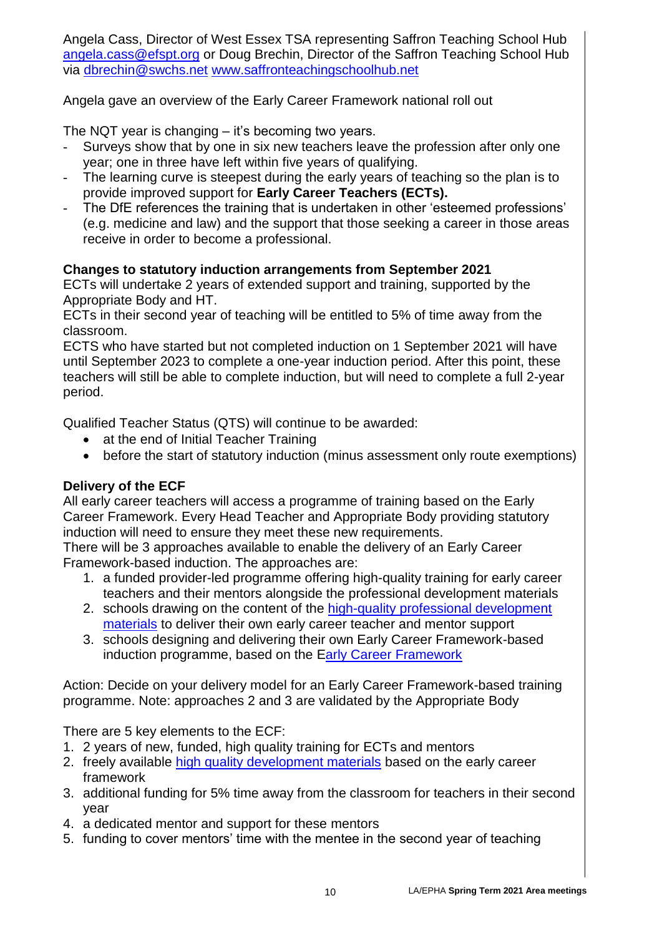Angela Cass, Director of West Essex TSA representing Saffron Teaching School Hub [angela.cass@efspt.org](mailto:angela.cass@efspt.org) or Doug Brechin, Director of the Saffron Teaching School Hub via [dbrechin@swchs.net](mailto:dbrechin@swchs.net) [www.saffronteachingschoolhub.net](http://www.saffronteachingschoolhub.net/)

Angela gave an overview of the Early Career Framework national roll out

The NQT year is changing – it's becoming two years.

- Surveys show that by one in six new teachers leave the profession after only one year; one in three have left within five years of qualifying.
- The learning curve is steepest during the early years of teaching so the plan is to provide improved support for **Early Career Teachers (ECTs).**
- The DfE references the training that is undertaken in other 'esteemed professions' (e.g. medicine and law) and the support that those seeking a career in those areas receive in order to become a professional.

# **Changes to statutory induction arrangements from September 2021**

ECTs will undertake 2 years of extended support and training, supported by the Appropriate Body and HT.

ECTs in their second year of teaching will be entitled to 5% of time away from the classroom.

ECTS who have started but not completed induction on 1 September 2021 will have until September 2023 to complete a one-year induction period. After this point, these teachers will still be able to complete induction, but will need to complete a full 2-year period.

Qualified Teacher Status (QTS) will continue to be awarded:

- at the end of Initial Teacher Training
- before the start of statutory induction (minus assessment only route exemptions)

# **Delivery of the ECF**

All early career teachers will access a programme of training based on the Early Career Framework. Every Head Teacher and Appropriate Body providing statutory induction will need to ensure they meet these new requirements.

There will be 3 approaches available to enable the delivery of an Early Career Framework-based induction. The approaches are:

- 1. a funded provider-led programme offering high-quality training for early career teachers and their mentors alongside the professional development materials
- 2. schools drawing on the content of the [high-quality professional development](https://www.early-career-framework.education.gov.uk/)  [materials](https://www.early-career-framework.education.gov.uk/) to deliver their own early career teacher and mentor support
- 3. schools designing and delivering their own Early Career Framework-based induction programme, based on the [Early Career Framework](https://www.gov.uk/government/publications/early-career-framework)

Action: Decide on your delivery model for an Early Career Framework-based training programme. Note: approaches 2 and 3 are validated by the Appropriate Body

There are 5 key elements to the ECF:

- 1. 2 years of new, funded, high quality training for ECTs and mentors
- 2. freely available [high quality development materials](https://www.early-career-framework.education.gov.uk/) based on the early career framework
- 3. additional funding for 5% time away from the classroom for teachers in their second year
- 4. a dedicated mentor and support for these mentors
- 5. funding to cover mentors' time with the mentee in the second year of teaching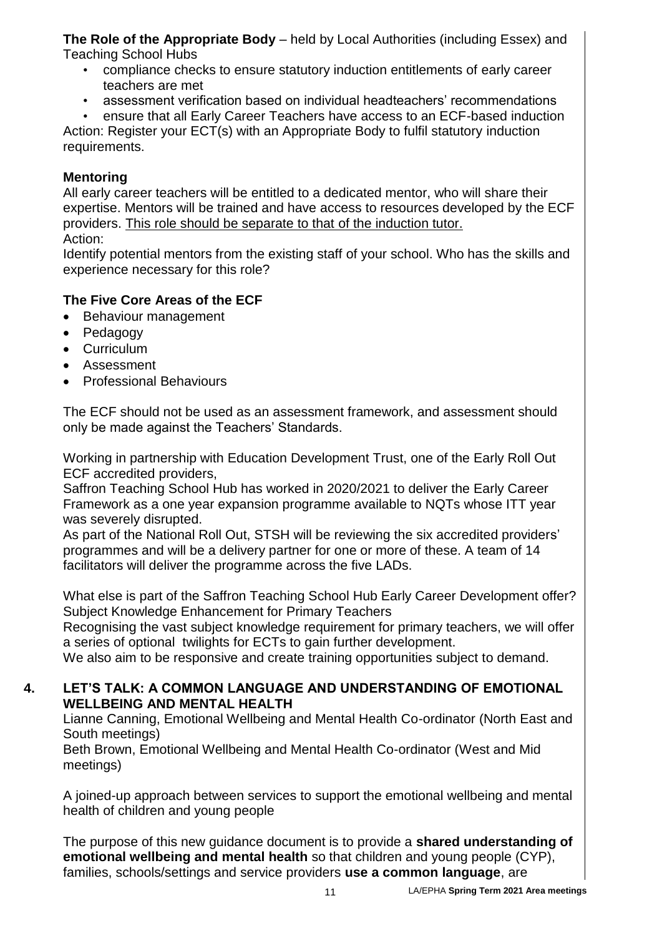**The Role of the Appropriate Body** – held by Local Authorities (including Essex) and Teaching School Hubs

- compliance checks to ensure statutory induction entitlements of early career teachers are met
- assessment verification based on individual headteachers' recommendations
- ensure that all Early Career Teachers have access to an ECF-based induction

Action: Register your ECT(s) with an Appropriate Body to fulfil statutory induction requirements.

## **Mentoring**

All early career teachers will be entitled to a dedicated mentor, who will share their expertise. Mentors will be trained and have access to resources developed by the ECF providers. This role should be separate to that of the induction tutor.

Action:

Identify potential mentors from the existing staff of your school. Who has the skills and experience necessary for this role?

# **The Five Core Areas of the ECF**

- Behaviour management
- Pedagogy
- Curriculum
- Assessment
- **•** Professional Behaviours

The ECF should not be used as an assessment framework, and assessment should only be made against the Teachers' Standards.

Working in partnership with Education Development Trust, one of the Early Roll Out ECF accredited providers,

Saffron Teaching School Hub has worked in 2020/2021 to deliver the Early Career Framework as a one year expansion programme available to NQTs whose ITT year was severely disrupted.

As part of the National Roll Out, STSH will be reviewing the six accredited providers' programmes and will be a delivery partner for one or more of these. A team of 14 facilitators will deliver the programme across the five LADs.

What else is part of the Saffron Teaching School Hub Early Career Development offer? Subject Knowledge Enhancement for Primary Teachers

Recognising the vast subject knowledge requirement for primary teachers, we will offer a series of optional twilights for ECTs to gain further development.

We also aim to be responsive and create training opportunities subject to demand.

## **4. LET'S TALK: A COMMON LANGUAGE AND UNDERSTANDING OF EMOTIONAL WELLBEING AND MENTAL HEALTH**

Lianne Canning, Emotional Wellbeing and Mental Health Co-ordinator (North East and South meetings)

Beth Brown, Emotional Wellbeing and Mental Health Co-ordinator (West and Mid meetings)

A joined-up approach between services to support the emotional wellbeing and mental health of children and young people

The purpose of this new guidance document is to provide a **shared understanding of emotional wellbeing and mental health** so that children and young people (CYP), families, schools/settings and service providers **use a common language**, are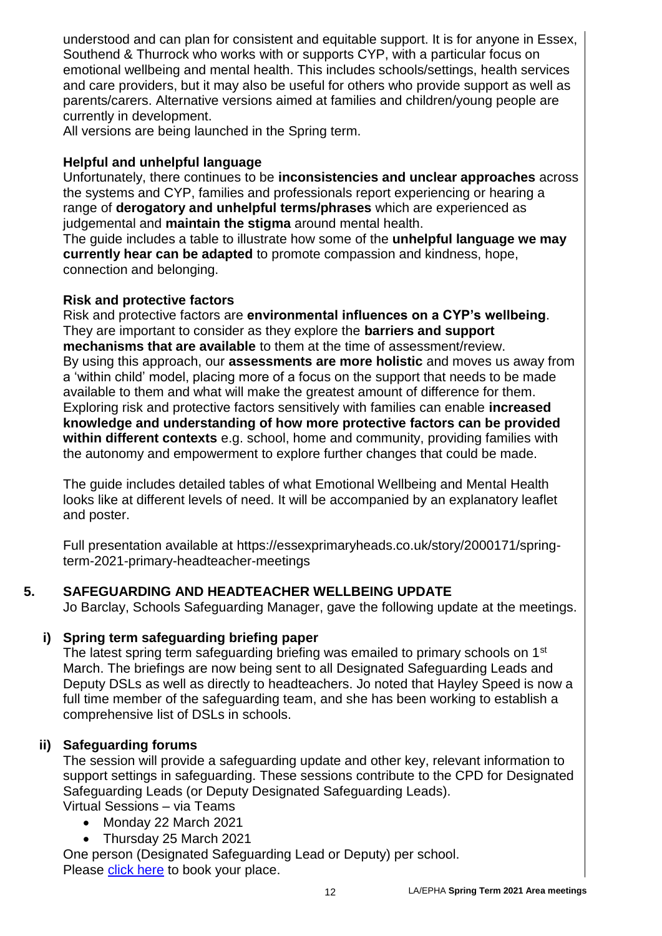understood and can plan for consistent and equitable support. It is for anyone in Essex, Southend & Thurrock who works with or supports CYP, with a particular focus on emotional wellbeing and mental health. This includes schools/settings, health services and care providers, but it may also be useful for others who provide support as well as parents/carers. Alternative versions aimed at families and children/young people are currently in development.

All versions are being launched in the Spring term.

## **Helpful and unhelpful language**

Unfortunately, there continues to be **inconsistencies and unclear approaches** across the systems and CYP, families and professionals report experiencing or hearing a range of **derogatory and unhelpful terms/phrases** which are experienced as judgemental and **maintain the stigma** around mental health.

The guide includes a table to illustrate how some of the **unhelpful language we may currently hear can be adapted** to promote compassion and kindness, hope, connection and belonging.

## **Risk and protective factors**

Risk and protective factors are **environmental influences on a CYP's wellbeing**. They are important to consider as they explore the **barriers and support mechanisms that are available** to them at the time of assessment/review. By using this approach, our **assessments are more holistic** and moves us away from a 'within child' model, placing more of a focus on the support that needs to be made available to them and what will make the greatest amount of difference for them. Exploring risk and protective factors sensitively with families can enable **increased knowledge and understanding of how more protective factors can be provided within different contexts** e.g. school, home and community, providing families with the autonomy and empowerment to explore further changes that could be made.

The guide includes detailed tables of what Emotional Wellbeing and Mental Health looks like at different levels of need. It will be accompanied by an explanatory leaflet and poster.

Full presentation available at https://essexprimaryheads.co.uk/story/2000171/springterm-2021-primary-headteacher-meetings

#### **5. SAFEGUARDING AND HEADTEACHER WELLBEING UPDATE**

Jo Barclay, Schools Safeguarding Manager, gave the following update at the meetings.

## **i) Spring term safeguarding briefing paper**

The latest spring term safeguarding briefing was emailed to primary schools on 1<sup>st</sup> March. The briefings are now being sent to all Designated Safeguarding Leads and Deputy DSLs as well as directly to headteachers. Jo noted that Hayley Speed is now a full time member of the safeguarding team, and she has been working to establish a comprehensive list of DSLs in schools.

## **ii) Safeguarding forums**

The session will provide a safeguarding update and other key, relevant information to support settings in safeguarding. These sessions contribute to the CPD for Designated Safeguarding Leads (or Deputy Designated Safeguarding Leads).

Virtual Sessions – via Teams

- Monday 22 March 2021
- Thursday 25 March 2021

One person (Designated Safeguarding Lead or Deputy) per school. Please [click here](https://lnks.gd/l/eyJhbGciOiJIUzI1NiJ9.eyJidWxsZXRpbl9saW5rX2lkIjoxMDIsInVyaSI6ImJwMjpjbGljayIsImJ1bGxldGluX2lkIjoiMjAyMTAzMDguMzY1MjMzMTEiLCJ1cmwiOiJodHRwczovL2NvbnN1bHRhdGlvbnMuZXNzZXguZ292LnVrL3dvcmtmb3JjZS1kZXZlbG9wbWVudC0xLzI5YjhmZGU0In0.gd2baTNuqZPe0fWC5u28ve8tMhW93Y8zhBLpfrb8zVc/s/564077043/br/99556902598-l) to book your place.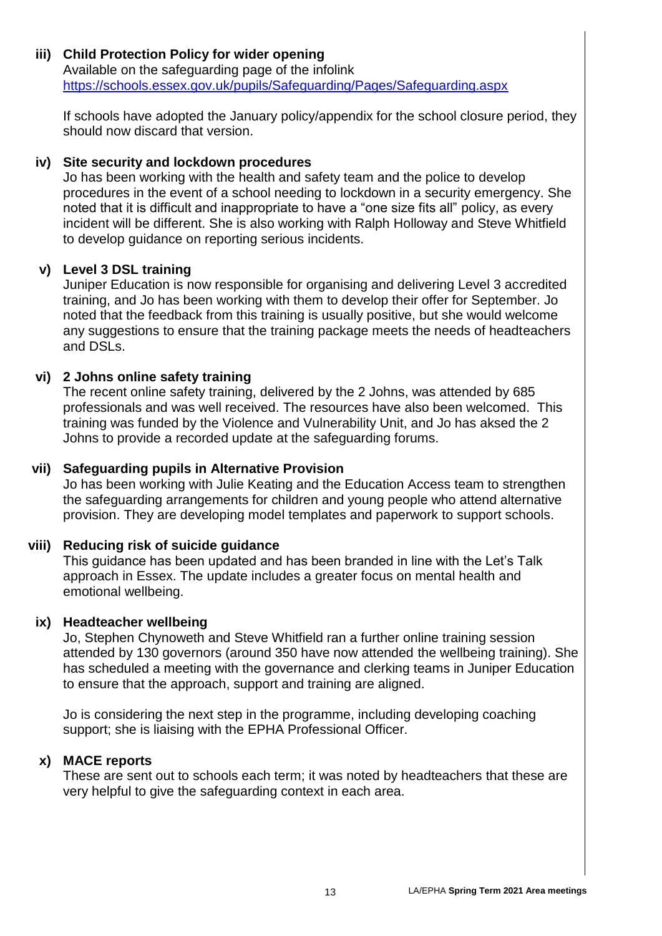# **iii) Child Protection Policy for wider opening**

Available on the safeguarding page of the infolink <https://schools.essex.gov.uk/pupils/Safeguarding/Pages/Safeguarding.aspx>

If schools have adopted the January policy/appendix for the school closure period, they should now discard that version.

## **iv) Site security and lockdown procedures**

Jo has been working with the health and safety team and the police to develop procedures in the event of a school needing to lockdown in a security emergency. She noted that it is difficult and inappropriate to have a "one size fits all" policy, as every incident will be different. She is also working with Ralph Holloway and Steve Whitfield to develop guidance on reporting serious incidents.

#### **v) Level 3 DSL training**

Juniper Education is now responsible for organising and delivering Level 3 accredited training, and Jo has been working with them to develop their offer for September. Jo noted that the feedback from this training is usually positive, but she would welcome any suggestions to ensure that the training package meets the needs of headteachers and DSLs.

## **vi) 2 Johns online safety training**

The recent online safety training, delivered by the 2 Johns, was attended by 685 professionals and was well received. The resources have also been welcomed. This training was funded by the Violence and Vulnerability Unit, and Jo has aksed the 2 Johns to provide a recorded update at the safeguarding forums.

#### **vii) Safeguarding pupils in Alternative Provision**

Jo has been working with Julie Keating and the Education Access team to strengthen the safeguarding arrangements for children and young people who attend alternative provision. They are developing model templates and paperwork to support schools.

## **viii) Reducing risk of suicide guidance**

This guidance has been updated and has been branded in line with the Let's Talk approach in Essex. The update includes a greater focus on mental health and emotional wellbeing.

#### **ix) Headteacher wellbeing**

Jo, Stephen Chynoweth and Steve Whitfield ran a further online training session attended by 130 governors (around 350 have now attended the wellbeing training). She has scheduled a meeting with the governance and clerking teams in Juniper Education to ensure that the approach, support and training are aligned.

Jo is considering the next step in the programme, including developing coaching support; she is liaising with the EPHA Professional Officer.

## **x) MACE reports**

These are sent out to schools each term; it was noted by headteachers that these are very helpful to give the safeguarding context in each area.